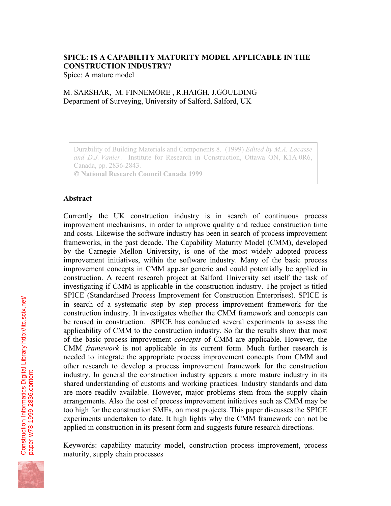# **SPICE: IS A CAPABILITY MATURITY MODEL APPLICABLE IN THE CONSTRUCTION INDUSTRY?**

Spice: A mature model

# M. SARSHAR, M. FINNEMORE , R.HAIGH, J.GOULDING Department of Surveying, University of Salford, Salford, UK

Durability of Building Materials and Components 8. (1999) *Edited by M.A. Lacasse and D.J. Vanier*. Institute for Research in Construction, Ottawa ON, K1A 0R6, Canada, pp. 2836-2843.

 **National Research Council Canada 1999**

#### **Abstract**

Currently the UK construction industry is in search of continuous process improvement mechanisms, in order to improve quality and reduce construction time and costs. Likewise the software industry has been in search of process improvement frameworks, in the past decade. The Capability Maturity Model (CMM), developed by the Carnegie Mellon University, is one of the most widely adopted process improvement initiatives, within the software industry. Many of the basic process improvement concepts in CMM appear generic and could potentially be applied in construction. A recent research project at Salford University set itself the task of investigating if CMM is applicable in the construction industry. The project is titled SPICE (Standardised Process Improvement for Construction Enterprises). SPICE is in search of a systematic step by step process improvement framework for the construction industry. It investigates whether the CMM framework and concepts can be reused in construction. SPICE has conducted several experiments to assess the applicability of CMM to the construction industry. So far the results show that most of the basic process improvement *concepts* of CMM are applicable. However, the CMM *framework* is not applicable in its current form. Much further research is needed to integrate the appropriate process improvement concepts from CMM and other research to develop a process improvement framework for the construction industry. In general the construction industry appears a more mature industry in its shared understanding of customs and working practices. Industry standards and data are more readily available. However, major problems stem from the supply chain arrangements. Also the cost of process improvement initiatives such as CMM may be too high for the construction SMEs, on most projects. This paper discusses the SPICE experiments undertaken to date. It high lights why the CMM framework can not be applied in construction in its present form and suggests future research directions.

Keywords: capability maturity model, construction process improvement, process maturity, supply chain processes

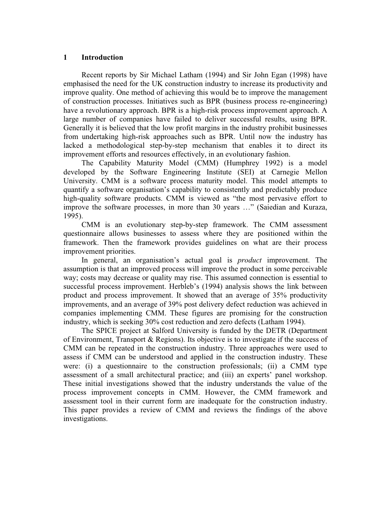#### **1 Introduction**

Recent reports by Sir Michael Latham (1994) and Sir John Egan (1998) have emphasised the need for the UK construction industry to increase its productivity and improve quality. One method of achieving this would be to improve the management of construction processes. Initiatives such as BPR (business process re-engineering) have a revolutionary approach. BPR is a high-risk process improvement approach. A large number of companies have failed to deliver successful results, using BPR. Generally it is believed that the low profit margins in the industry prohibit businesses from undertaking high-risk approaches such as BPR. Until now the industry has lacked a methodological step-by-step mechanism that enables it to direct its improvement efforts and resources effectively, in an evolutionary fashion.

The Capability Maturity Model (CMM) (Humphrey 1992) is a model developed by the Software Engineering Institute (SEI) at Carnegie Mellon University. CMM is a software process maturity model. This model attempts to quantify a software organisation's capability to consistently and predictably produce high-quality software products. CMM is viewed as "the most pervasive effort to improve the software processes, in more than 30 years …" (Saiedian and Kuraza, 1995).

CMM is an evolutionary step-by-step framework. The CMM assessment questionnaire allows businesses to assess where they are positioned within the framework. Then the framework provides guidelines on what are their process improvement priorities.

In general, an organisation's actual goal is *product* improvement. The assumption is that an improved process will improve the product in some perceivable way; costs may decrease or quality may rise. This assumed connection is essential to successful process improvement. Herbleb's (1994) analysis shows the link between product and process improvement. It showed that an average of 35% productivity improvements, and an average of 39% post delivery defect reduction was achieved in companies implementing CMM. These figures are promising for the construction industry, which is seeking 30% cost reduction and zero defects (Latham 1994).

The SPICE project at Salford University is funded by the DETR (Department of Environment, Transport & Regions). Its objective is to investigate if the success of CMM can be repeated in the construction industry. Three approaches were used to assess if CMM can be understood and applied in the construction industry. These were: (i) a questionnaire to the construction professionals; (ii) a CMM type assessment of a small architectural practice; and (iii) an experts' panel workshop. These initial investigations showed that the industry understands the value of the process improvement concepts in CMM. However, the CMM framework and assessment tool in their current form are inadequate for the construction industry. This paper provides a review of CMM and reviews the findings of the above investigations.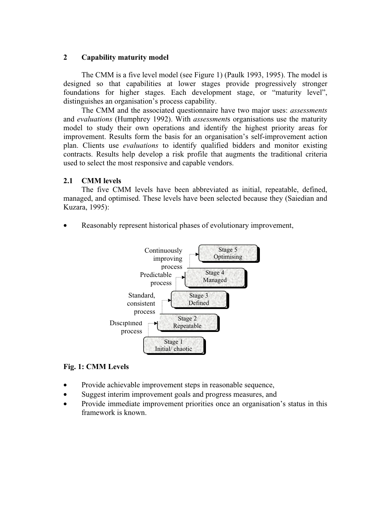## **2 Capability maturity model**

The CMM is a five level model (see Figure 1) (Paulk 1993, 1995). The model is designed so that capabilities at lower stages provide progressively stronger foundations for higher stages. Each development stage, or "maturity level", distinguishes an organisation's process capability.

The CMM and the associated questionnaire have two major uses: *assessments* and *evaluations* (Humphrey 1992). With *assessment*s organisations use the maturity model to study their own operations and identify the highest priority areas for improvement. Results form the basis for an organisation's self-improvement action plan. Clients use *evaluations* to identify qualified bidders and monitor existing contracts. Results help develop a risk profile that augments the traditional criteria used to select the most responsive and capable vendors.

# **2.1 CMM levels**

The five CMM levels have been abbreviated as initial, repeatable, defined, managed, and optimised. These levels have been selected because they (Saiedian and Kuzara, 1995):

• Reasonably represent historical phases of evolutionary improvement,



# **Fig. 1: CMM Levels**

- Provide achievable improvement steps in reasonable sequence,
- Suggest interim improvement goals and progress measures, and
- Provide immediate improvement priorities once an organisation's status in this framework is known.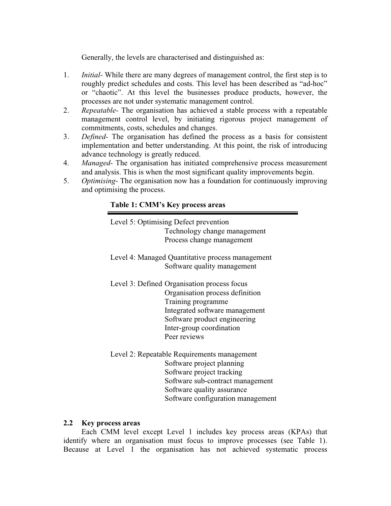Generally, the levels are characterised and distinguished as:

- 1. *Initial-* While there are many degrees of management control, the first step is to roughly predict schedules and costs. This level has been described as "ad-hoc" or "chaotic". At this level the businesses produce products, however, the processes are not under systematic management control.
- 2. *Repeatable-* The organisation has achieved a stable process with a repeatable management control level, by initiating rigorous project management of commitments, costs, schedules and changes.
- 3. *Defined-* The organisation has defined the process as a basis for consistent implementation and better understanding. At this point, the risk of introducing advance technology is greatly reduced.
- 4. *Managed-* The organisation has initiated comprehensive process measurement and analysis. This is when the most significant quality improvements begin.
- 5. *Optimising-* The organisation now has a foundation for continuously improving and optimising the process.

# **Table 1: CMM's Key process areas**

Level 5: Optimising Defect prevention Technology change management Process change management

Level 4: Managed Quantitative process management Software quality management

Level 3: Defined Organisation process focus Organisation process definition Training programme Integrated software management Software product engineering Inter-group coordination Peer reviews

Level 2: Repeatable Requirements management Software project planning Software project tracking Software sub-contract management Software quality assurance Software configuration management

## **2.2 Key process areas**

Each CMM level except Level 1 includes key process areas (KPAs) that identify where an organisation must focus to improve processes (see Table 1). Because at Level 1 the organisation has not achieved systematic process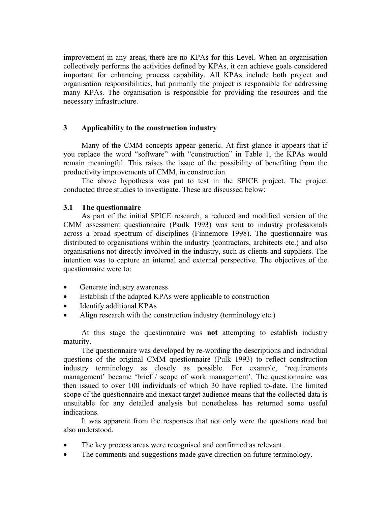improvement in any areas, there are no KPAs for this Level. When an organisation collectively performs the activities defined by KPAs, it can achieve goals considered important for enhancing process capability. All KPAs include both project and organisation responsibilities, but primarily the project is responsible for addressing many KPAs. The organisation is responsible for providing the resources and the necessary infrastructure.

#### **3 Applicability to the construction industry**

Many of the CMM concepts appear generic. At first glance it appears that if you replace the word "software" with "construction" in Table 1, the KPAs would remain meaningful. This raises the issue of the possibility of benefiting from the productivity improvements of CMM, in construction.

The above hypothesis was put to test in the SPICE project. The project conducted three studies to investigate. These are discussed below:

#### **3.1 The questionnaire**

As part of the initial SPICE research, a reduced and modified version of the CMM assessment questionnaire (Paulk 1993) was sent to industry professionals across a broad spectrum of disciplines (Finnemore 1998). The questionnaire was distributed to organisations within the industry (contractors, architects etc.) and also organisations not directly involved in the industry, such as clients and suppliers. The intention was to capture an internal and external perspective. The objectives of the questionnaire were to:

- Generate industry awareness
- Establish if the adapted KPAs were applicable to construction
- Identify additional KPAs
- Align research with the construction industry (terminology etc.)

At this stage the questionnaire was **not** attempting to establish industry maturity.

The questionnaire was developed by re-wording the descriptions and individual questions of the original CMM questionnaire (Pulk 1993) to reflect construction industry terminology as closely as possible. For example, 'requirements management' became 'brief / scope of work management'. The questionnaire was then issued to over 100 individuals of which 30 have replied to-date. The limited scope of the questionnaire and inexact target audience means that the collected data is unsuitable for any detailed analysis but nonetheless has returned some useful indications.

It was apparent from the responses that not only were the questions read but also understood.

- The key process areas were recognised and confirmed as relevant.
- The comments and suggestions made gave direction on future terminology.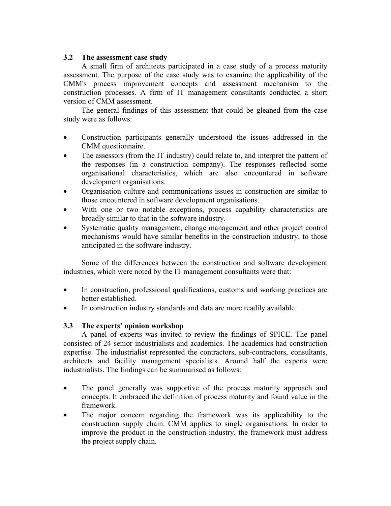## **3.2 The assessment case study**

A small firm of architects participated in a case study of a process maturity assessment. The purpose of the case study was to examine the applicability of the CMM's process improvement concepts and assessment mechanism to the construction processes. A firm of IT management consultants conducted a short version of CMM assessment.

The general findings of this assessment that could be gleaned from the case study were as follows:

- Construction participants generally understood the issues addressed in the CMM questionnaire.
- The assessors (from the IT industry) could relate to, and interpret the pattern of the responses (in a construction company). The responses reflected some organisational characteristics, which are also encountered in software development organisations.
- Organisation culture and communications issues in construction are similar to those encountered in software development organisations.
- With one or two notable exceptions, process capability characteristics are broadly similar to that in the software industry.
- Systematic quality management, change management and other project control mechanisms would have similar benefits in the construction industry, to those anticipated in the software industry.

Some of the differences between the construction and software development industries, which were noted by the IT management consultants were that:

- In construction, professional qualifications, customs and working practices are better established.
- In construction industry standards and data are more readily available.

## **3.3 The experts' opinion workshop**

A panel of experts was invited to review the findings of SPICE. The panel consisted of 24 senior industrialists and academics. The academics had construction expertise. The industrialist represented the contractors, sub-contractors, consultants, architects and facility management specialists. Around half the experts were industrialists. The findings can be summarised as follows:

- The panel generally was supportive of the process maturity approach and concepts. It embraced the definition of process maturity and found value in the framework.
- The major concern regarding the framework was its applicability to the construction supply chain. CMM applies to single organisations. In order to improve the product in the construction industry, the framework must address the project supply chain.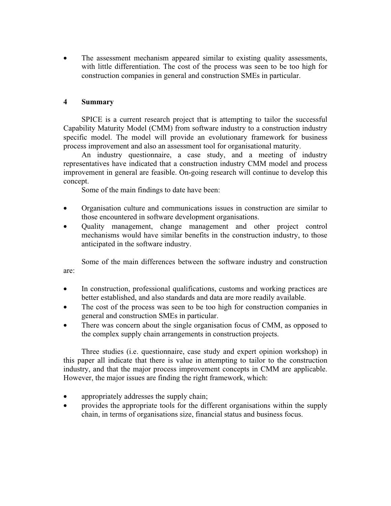• The assessment mechanism appeared similar to existing quality assessments, with little differentiation. The cost of the process was seen to be too high for construction companies in general and construction SMEs in particular.

# **4 Summary**

SPICE is a current research project that is attempting to tailor the successful Capability Maturity Model (CMM) from software industry to a construction industry specific model. The model will provide an evolutionary framework for business process improvement and also an assessment tool for organisational maturity.

An industry questionnaire, a case study, and a meeting of industry representatives have indicated that a construction industry CMM model and process improvement in general are feasible. On-going research will continue to develop this concept.

Some of the main findings to date have been:

- Organisation culture and communications issues in construction are similar to those encountered in software development organisations.
- Quality management, change management and other project control mechanisms would have similar benefits in the construction industry, to those anticipated in the software industry.

Some of the main differences between the software industry and construction are:

- In construction, professional qualifications, customs and working practices are better established, and also standards and data are more readily available.
- The cost of the process was seen to be too high for construction companies in general and construction SMEs in particular.
- There was concern about the single organisation focus of CMM, as opposed to the complex supply chain arrangements in construction projects.

Three studies (i.e. questionnaire, case study and expert opinion workshop) in this paper all indicate that there is value in attempting to tailor to the construction industry, and that the major process improvement concepts in CMM are applicable. However, the major issues are finding the right framework, which:

- appropriately addresses the supply chain;
- provides the appropriate tools for the different organisations within the supply chain, in terms of organisations size, financial status and business focus.